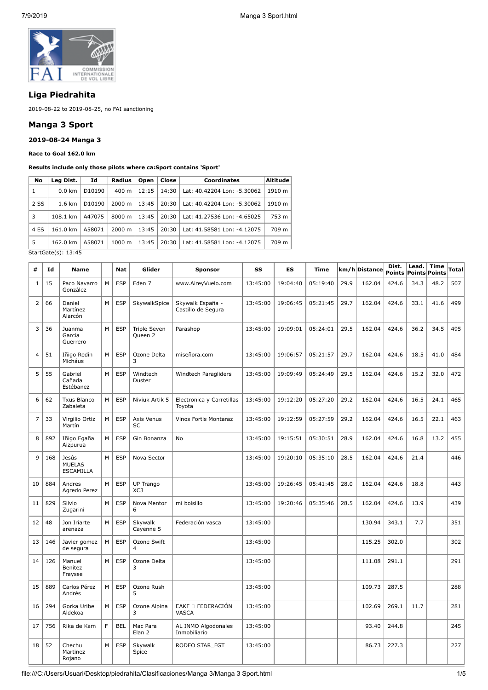

# **Liga Piedrahita**

2019-08-22 to 2019-08-25, no FAI sanctioning

## **Manga 3 Sport**

## **2019-08-24 Manga 3**

#### **Race to Goal 162.0 km**

#### **Results include only those pilots where ca:Sport contains 'Sport'**

| No   | Lea Dist.        | Id     | Radius             | Open  | <b>Close</b> | <b>Coordinates</b>          | Altitude |
|------|------------------|--------|--------------------|-------|--------------|-----------------------------|----------|
| 1    | $0.0 \text{ km}$ | D10190 | 400 m              | 12:15 | 14:30        | Lat: 40.42204 Lon: -5.30062 | 1910 m   |
| 2 SS | $1.6 \text{ km}$ | D10190 | 2000 m             | 13:45 | 20:30        | Lat: 40.42204 Lon: -5.30062 | 1910 m   |
| 3    | 108.1 km         | A47075 | $8000 \; \text{m}$ | 13:45 | 20:30        | Lat: 41.27536 Lon: -4.65025 | 753 m    |
| 4 ES | 161.0 km         | A58071 | 2000 m             | 13:45 | 20:30        | Lat: 41.58581 Lon: -4.12075 | 709 m    |
| 5    | 162.0 km         | A58071 | $1000 \; \text{m}$ | 13:45 | 20:30        | Lat: 41.58581 Lon: -4.12075 | 709 m    |

StartGate(s): 13:45

| #              | Id  | <b>Name</b>                                |   | <b>Nat</b> | Glider                                    | <b>Sponsor</b>                           | SS       | ES       | <b>Time</b> |      | km/h Distance | Dist. | Lead. | <b>Time</b><br>Points Points Points | Total |
|----------------|-----|--------------------------------------------|---|------------|-------------------------------------------|------------------------------------------|----------|----------|-------------|------|---------------|-------|-------|-------------------------------------|-------|
| $\mathbf{1}$   | 15  | Paco Navarro<br>González                   | M | <b>ESP</b> | Eden 7                                    | www.AireyVuelo.com                       | 13:45:00 | 19:04:40 | 05:19:40    | 29.9 | 162.04        | 424.6 | 34.3  | 48.2                                | 507   |
| $\overline{2}$ | 66  | Daniel<br>Martínez<br>Alarcón              | M | <b>ESP</b> | SkywalkSpice                              | Skywalk España -<br>Castillo de Segura   | 13:45:00 | 19:06:45 | 05:21:45    | 29.7 | 162.04        | 424.6 | 33.1  | 41.6                                | 499   |
| 3              | 36  | Juanma<br>Garcia<br>Guerrero               | M | <b>ESP</b> | <b>Triple Seven</b><br>Oueen <sub>2</sub> | Parashop                                 | 13:45:00 | 19:09:01 | 05:24:01    | 29.5 | 162.04        | 424.6 | 36.2  | 34.5                                | 495   |
| $\overline{4}$ | 51  | Iñigo Redín<br>Micháus                     | M | <b>ESP</b> | Ozone Delta<br>3                          | miseñora.com                             | 13:45:00 | 19:06:57 | 05:21:57    | 29.7 | 162.04        | 424.6 | 18.5  | 41.0                                | 484   |
| 5              | 55  | Gabriel<br>Cañada<br>Estébanez             | M | <b>ESP</b> | Windtech<br>Duster                        | Windtech Paragliders                     | 13:45:00 | 19:09:49 | 05:24:49    | 29.5 | 162.04        | 424.6 | 15.2  | 32.0                                | 472   |
| 6              | 62  | <b>Txus Blanco</b><br>Zabaleta             | M | <b>ESP</b> | Niviuk Artik 5                            | Electronica y Carretillas<br>Toyota      | 13:45:00 | 19:12:20 | 05:27:20    | 29.2 | 162.04        | 424.6 | 16.5  | 24.1                                | 465   |
| $\overline{7}$ | 33  | Virgilio Ortiz<br>Martín                   | M | <b>ESP</b> | Axis Venus<br><b>SC</b>                   | <b>Vinos Fortis Montaraz</b>             | 13:45:00 | 19:12:59 | 05:27:59    | 29.2 | 162.04        | 424.6 | 16.5  | 22.1                                | 463   |
| 8              | 892 | Iñigo Egaña<br>Aizpurua                    | M | <b>ESP</b> | Gin Bonanza                               | <b>No</b>                                | 13:45:00 | 19:15:51 | 05:30:51    | 28.9 | 162.04        | 424.6 | 16.8  | 13.2                                | 455   |
| 9              | 168 | Jesús<br><b>MUELAS</b><br><b>ESCAMILLA</b> | M | <b>ESP</b> | Nova Sector                               |                                          | 13:45:00 | 19:20:10 | 05:35:10    | 28.5 | 162.04        | 424.6 | 21.4  |                                     | 446   |
| 10             | 884 | Andres<br>Agredo Perez                     | M | <b>ESP</b> | UP Trango<br>XC3                          |                                          | 13:45:00 | 19:26:45 | 05:41:45    | 28.0 | 162.04        | 424.6 | 18.8  |                                     | 443   |
| 11             | 829 | Silvio<br>Zugarini                         | M | <b>ESP</b> | Nova Mentor<br>6                          | mi bolsillo                              | 13:45:00 | 19:20:46 | 05:35:46    | 28.5 | 162.04        | 424.6 | 13.9  |                                     | 439   |
| 12             | 48  | Jon Iriarte<br>arenaza                     | M | <b>ESP</b> | Skywalk<br>Cayenne 5                      | Federación vasca                         | 13:45:00 |          |             |      | 130.94        | 343.1 | 7.7   |                                     | 351   |
| 13             | 146 | Javier gomez<br>de segura                  | M | <b>ESP</b> | Ozone Swift<br>4                          |                                          | 13:45:00 |          |             |      | 115.25        | 302.0 |       |                                     | 302   |
| 14             | 126 | Manuel<br>Benitez<br>Fraysse               | M | <b>ESP</b> | Ozone Delta<br>3                          |                                          | 13:45:00 |          |             |      | 111.08        | 291.1 |       |                                     | 291   |
| 15             | 889 | Carlos Pérez<br>Andrés                     | M | <b>ESP</b> | Ozone Rush<br>5                           |                                          | 13:45:00 |          |             |      | 109.73        | 287.5 |       |                                     | 288   |
| 16             | 294 | Gorka Uribe<br>Aldekoa                     | M | <b>ESP</b> | Ozone Alpina<br>3                         | EAKF <b>D</b> FEDERACIÓN<br><b>VASCA</b> | 13:45:00 |          |             |      | 102.69        | 269.1 | 11.7  |                                     | 281   |
| 17             | 756 | Rika de Kam                                | F | <b>BEL</b> | Mac Para<br>Elan <sub>2</sub>             | AL INMO Algodonales<br>Inmobiliario      | 13:45:00 |          |             |      | 93.40         | 244.8 |       |                                     | 245   |
| 18             | 52  | Chechu<br>Martinez<br>Rojano               | M | <b>ESP</b> | Skywalk<br>Spice                          | RODEO STAR FGT                           | 13:45:00 |          |             |      | 86.73         | 227.3 |       |                                     | 227   |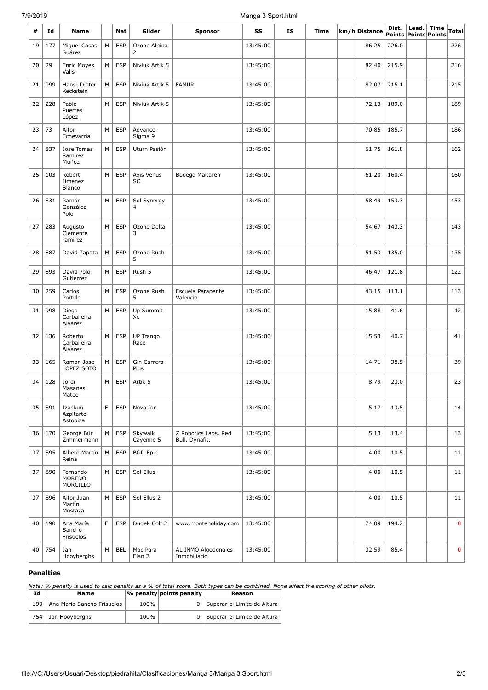### 7/9/2019 Manga 3 Sport.html

| #  | Id  | Name                              |   | Nat        | Glider               | <b>Sponsor</b>                         | SS       | ES | Time | km/h Distance | Dist. | Lead.<br>Points Points Points | <b>Time</b> | Total       |
|----|-----|-----------------------------------|---|------------|----------------------|----------------------------------------|----------|----|------|---------------|-------|-------------------------------|-------------|-------------|
| 19 | 177 | Miguel Casas<br>Suárez            | M | <b>ESP</b> | Ozone Alpina<br>2    |                                        | 13:45:00 |    |      | 86.25         | 226.0 |                               |             | 226         |
| 20 | 29  | Enric Moyés<br>Valls              | М | <b>ESP</b> | Niviuk Artik 5       |                                        | 13:45:00 |    |      | 82.40         | 215.9 |                               |             | 216         |
| 21 | 999 | Hans-Dieter<br>Keckstein          | М | <b>ESP</b> | Niviuk Artik 5       | <b>FAMUR</b>                           | 13:45:00 |    |      | 82.07         | 215.1 |                               |             | 215         |
| 22 | 228 | Pablo<br>Puertes<br>López         | М | <b>ESP</b> | Niviuk Artik 5       |                                        | 13:45:00 |    |      | 72.13         | 189.0 |                               |             | 189         |
| 23 | 73  | Aitor<br>Echevarria               | М | <b>ESP</b> | Advance<br>Sigma 9   |                                        | 13:45:00 |    |      | 70.85         | 185.7 |                               |             | 186         |
| 24 | 837 | Jose Tomas<br>Ramirez<br>Muñoz    | м | <b>ESP</b> | Uturn Pasión         |                                        | 13:45:00 |    |      | 61.75         | 161.8 |                               |             | 162         |
| 25 | 103 | Robert<br>Jimenez<br>Blanco       | M | <b>ESP</b> | Axis Venus<br>SC     | Bodega Maitaren                        | 13:45:00 |    |      | 61.20         | 160.4 |                               |             | 160         |
| 26 | 831 | Ramón<br>González<br>Polo         | M | <b>ESP</b> | Sol Synergy<br>4     |                                        | 13:45:00 |    |      | 58.49         | 153.3 |                               |             | 153         |
| 27 | 283 | Augusto<br>Clemente<br>ramirez    | м | <b>ESP</b> | Ozone Delta<br>3     |                                        | 13:45:00 |    |      | 54.67         | 143.3 |                               |             | 143         |
| 28 | 887 | David Zapata                      | М | <b>ESP</b> | Ozone Rush<br>5      |                                        | 13:45:00 |    |      | 51.53         | 135.0 |                               |             | 135         |
| 29 | 893 | David Polo<br>Gutiérrez           | М | <b>ESP</b> | Rush 5               |                                        | 13:45:00 |    |      | 46.47         | 121.8 |                               |             | 122         |
| 30 | 259 | Carlos<br>Portillo                | М | <b>ESP</b> | Ozone Rush<br>5      | Escuela Parapente<br>Valencia          | 13:45:00 |    |      | 43.15         | 113.1 |                               |             | 113         |
| 31 | 998 | Diego<br>Carballeira<br>Alvarez   | М | <b>ESP</b> | Up Summit<br>Xc      |                                        | 13:45:00 |    |      | 15.88         | 41.6  |                               |             | 42          |
| 32 | 136 | Roberto<br>Carballeira<br>Álvarez | М | <b>ESP</b> | UP Trango<br>Race    |                                        | 13:45:00 |    |      | 15.53         | 40.7  |                               |             | 41          |
| 33 | 165 | Ramon Jose<br>LOPEZ SOTO          | М | <b>ESP</b> | Gin Carrera<br>Plus  |                                        | 13:45:00 |    |      | 14.71         | 38.5  |                               |             | 39          |
| 34 | 128 | Jordi<br>Masanes<br>Mateo         | M | <b>ESP</b> | Artik 5              |                                        | 13:45:00 |    |      | 8.79          | 23.0  |                               |             | 23          |
| 35 | 891 | Izaskun<br>Azpitarte<br>Astobiza  | F | <b>ESP</b> | Nova Ion             |                                        | 13:45:00 |    |      | 5.17          | 13.5  |                               |             | 14          |
| 36 | 170 | George Bür<br>Zimmermann          | М | <b>ESP</b> | Skywalk<br>Cayenne 5 | Z Robotics Labs. Red<br>Bull. Dynafit. | 13:45:00 |    |      | 5.13          | 13.4  |                               |             | 13          |
| 37 | 895 | Albero Martín<br>Reina            | М | <b>ESP</b> | <b>BGD Epic</b>      |                                        | 13:45:00 |    |      | 4.00          | 10.5  |                               |             | 11          |
| 37 | 890 | Fernando<br>MORENO<br>MORCILLO    | М | <b>ESP</b> | Sol Ellus            |                                        | 13:45:00 |    |      | 4.00          | 10.5  |                               |             | 11          |
| 37 | 896 | Aitor Juan<br>Martín<br>Mostaza   | М | <b>ESP</b> | Sol Ellus 2          |                                        | 13:45:00 |    |      | 4.00          | 10.5  |                               |             | 11          |
| 40 | 190 | Ana María<br>Sancho<br>Frisuelos  | F | <b>ESP</b> | Dudek Colt 2         | www.monteholiday.com                   | 13:45:00 |    |      | 74.09         | 194.2 |                               |             | 0           |
| 40 | 754 | Jan<br>Hooyberghs                 | М | <b>BEL</b> | Mac Para<br>Elan 2   | AL INMO Algodonales<br>Inmobiliario    | 13:45:00 |    |      | 32.59         | 85.4  |                               |             | $\mathbf 0$ |

#### **Penalties**

*Note: % penalty is used to calc penalty as a % of total score. Both types can be combined. None affect the scoring of other pilots.*

| Id  | <b>Name</b>                |      | $ \%$ penalty points penalty | Reason                          |
|-----|----------------------------|------|------------------------------|---------------------------------|
| 190 | Ana María Sancho Frisuelos | 100% |                              | 0   Superar el Limite de Altura |
|     | 754   Jan Hooyberghs       | 100% |                              | 0   Superar el Limite de Altura |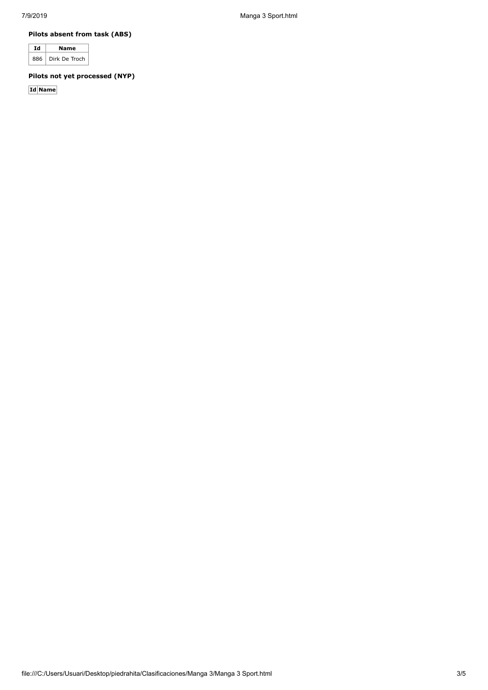7/9/2019 Manga 3 Sport.html

**Pilots absent from task (ABS)**

|     | Name          |
|-----|---------------|
| 886 | Dirk De Troch |

**Pilots not yet processed (NYP)**

**Id Name**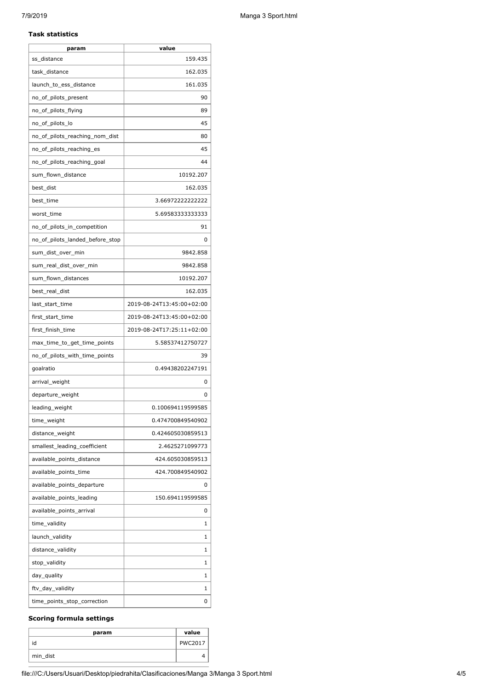#### **Task statistics**

| param                           | value                     |
|---------------------------------|---------------------------|
| ss_distance                     | 159.435                   |
| task_distance                   | 162.035                   |
| launch_to_ess_distance          | 161.035                   |
| no_of_pilots_present            | 90                        |
| no_of_pilots_flying             | 89                        |
| no_of_pilots_lo                 | 45                        |
| no_of_pilots_reaching_nom_dist  | 80                        |
| no_of_pilots_reaching_es        | 45                        |
| no_of_pilots_reaching_goal      | 44                        |
| sum_flown_distance              | 10192.207                 |
| best_dist                       | 162.035                   |
| best_time                       | 3.66972222222222          |
| worst_time                      | 5.69583333333333          |
| no_of_pilots_in_competition     | 91                        |
| no_of_pilots_landed_before_stop | 0                         |
| sum dist over min               | 9842.858                  |
| sum_real_dist_over_min          | 9842.858                  |
| sum_flown_distances             | 10192.207                 |
| best_real_dist                  | 162.035                   |
| last_start_time                 | 2019-08-24T13:45:00+02:00 |
| first_start_time                | 2019-08-24T13:45:00+02:00 |
| first_finish_time               | 2019-08-24T17:25:11+02:00 |
| max_time_to_get_time_points     | 5.58537412750727          |
| no_of_pilots_with_time_points   | 39                        |
| goalratio                       | 0.49438202247191          |
| arrival weight                  | 0                         |
| departure_weight                | 0                         |
| leading_weight                  | 0.100694119599585         |
| time_weight                     | 0.474700849540902         |
| distance_weight                 | 0.424605030859513         |
| smallest_leading_coefficient    | 2.4625271099773           |
| available_points_distance       | 424.605030859513          |
| available_points_time           | 424.700849540902          |
| available points departure      | 0                         |
| available_points_leading        | 150.694119599585          |
| available_points_arrival        | 0                         |
| time_validity                   | 1                         |
| launch_validity                 | 1                         |
| distance_validity               | 1                         |
| stop_validity                   | 1                         |
| day_quality                     | 1                         |
| ftv_day_validity                | 1                         |
| time_points_stop_correction     | 0                         |

## **Scoring formula settings**

| param    | value          |
|----------|----------------|
| id       | <b>PWC2017</b> |
| min_dist |                |